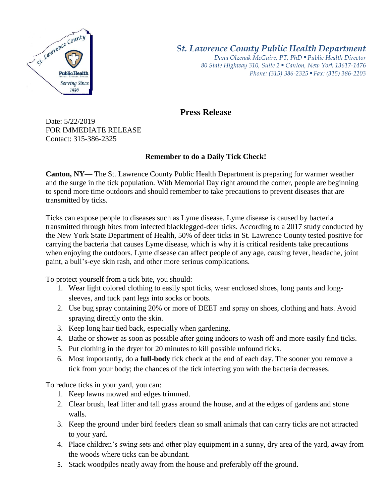

## *St. Lawrence County Public Health Department*

*Dana Olzenak McGuire, PT, PhD ■ Public Health Director 80 State Highway 310, Suite 2 ■ Canton, New York 13617-1476 Phone: (315) 386-2325* ■ *Fax: (315) 386-2203*

## **Press Release**

Date: 5/22/2019 FOR IMMEDIATE RELEASE Contact: 315-386-2325

## **Remember to do a Daily Tick Check!**

**Canton, NY—** The St. Lawrence County Public Health Department is preparing for warmer weather and the surge in the tick population. With Memorial Day right around the corner, people are beginning to spend more time outdoors and should remember to take precautions to prevent diseases that are transmitted by ticks.

Ticks can expose people to diseases such as Lyme disease. Lyme disease is caused by bacteria transmitted through bites from infected blacklegged-deer ticks. According to a 2017 study conducted by the New York State Department of Health, 50% of deer ticks in St. Lawrence County tested positive for carrying the bacteria that causes Lyme disease, which is why it is critical residents take precautions when enjoying the outdoors. Lyme disease can affect people of any age, causing fever, headache, joint paint, a bull's-eye skin rash, and other more serious complications.

To protect yourself from a tick bite, you should:

- 1. Wear light colored clothing to easily spot ticks, wear enclosed shoes, long pants and longsleeves, and tuck pant legs into socks or boots.
- 2. Use bug spray containing 20% or more of DEET and spray on shoes, clothing and hats. Avoid spraying directly onto the skin.
- 3. Keep long hair tied back, especially when gardening.
- 4. Bathe or shower as soon as possible after going indoors to wash off and more easily find ticks.
- 5. Put clothing in the dryer for 20 minutes to kill possible unfound ticks.
- 6. Most importantly, do a **full-body** tick check at the end of each day. The sooner you remove a tick from your body; the chances of the tick infecting you with the bacteria decreases.

To reduce ticks in your yard, you can:

- 1. Keep lawns mowed and edges trimmed.
- 2. Clear brush, leaf litter and tall grass around the house, and at the edges of gardens and stone walls.
- 3. Keep the ground under bird feeders clean so small animals that can carry ticks are not attracted to your yard.
- 4. Place children's swing sets and other play equipment in a sunny, dry area of the yard, away from the woods where ticks can be abundant.
- 5. Stack woodpiles neatly away from the house and preferably off the ground.